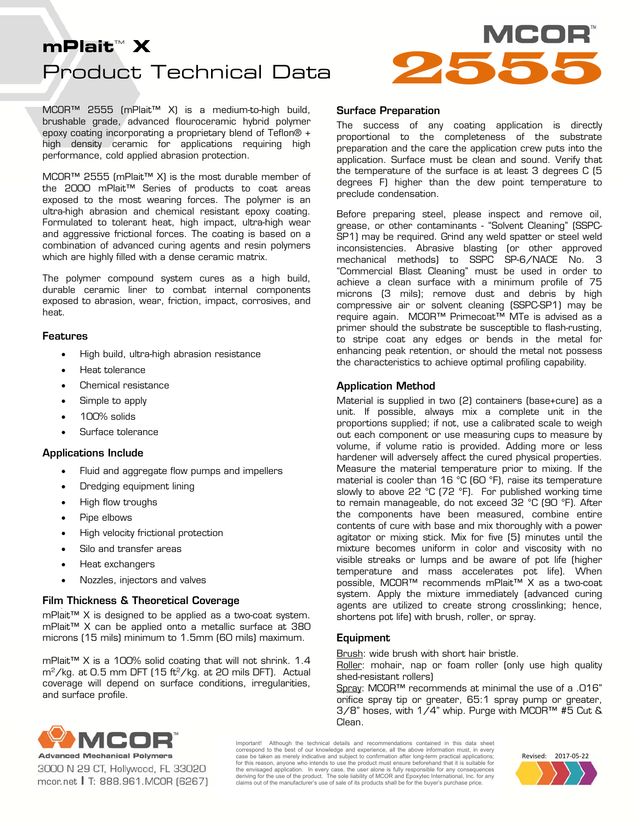# Product Technical Data **MCOR**<br>Product Technical Data<br>Product Technical Data



MCOR™ 2555 (mPlait™ X) is a medium-to-high build, brushable grade, advanced flouroceramic hybrid polymer epoxy coating incorporating a proprietary blend of Teflon® + high density ceramic for applications requiring high performance, cold applied abrasion protection.

MCOR™ 2555 (mPlait™ X) is the most durable member of the 2000 mPlait™ Series of products to coat areas exposed to the most wearing forces. The polymer is an ultra-high abrasion and chemical resistant epoxy coating. Formulated to tolerant heat, high impact, ultra-high wear and aggressive frictional forces. The coating is based on a combination of advanced curing agents and resin polymers which are highly filled with a dense ceramic matrix.

The polymer compound system cures as a high build, durable ceramic liner to combat internal components exposed to abrasion, wear, friction, impact, corrosives, and heat.

#### Features

- High build, ultra-high abrasion resistance
- Heat tolerance
- Chemical resistance
- Simple to apply
- 100% solids
- Surface tolerance

#### Applications Include

- Fluid and aggregate flow pumps and impellers
- Dredging equipment lining
- High flow troughs
- Pipe elbows
- High velocity frictional protection
- Silo and transfer areas
- Heat exchangers
- Nozzles, injectors and valves

#### Film Thickness & Theoretical Coverage

mPlait™ X is designed to be applied as a two-coat system. mPlait™ X can be applied onto a metallic surface at 380 microns (15 mils) minimum to 1.5mm (60 mils) maximum.

mPlait™ X is a 100% solid coating that will not shrink. 1.4  $\rm m^2/kg$ . at 0.5 mm DFT (15 ft<sup>2</sup>/kg. at 20 mils DFT). Actual coverage will depend on surface conditions, irregularities, and surface profile.

#### Surface Preparation

The success of any coating application is directly proportional to the completeness of the substrate preparation and the care the application crew puts into the application. Surface must be clean and sound. Verify that the temperature of the surface is at least 3 degrees C (5 degrees F) higher than the dew point temperature to preclude condensation.

Before preparing steel, please inspect and remove oil, grease, or other contaminants - "Solvent Cleaning" (SSPC-SP1) may be required. Grind any weld spatter or steel weld inconsistencies. Abrasive blasting (or other approved mechanical methods) to SSPC SP-6/NACE No. 3 "Commercial Blast Cleaning" must be used in order to achieve a clean surface with a minimum profile of 75 microns (3 mils); remove dust and debris by high compressive air or solvent cleaning (SSPC-SP1) may be require again. MCOR™ Primecoat™ MTe is advised as a primer should the substrate be susceptible to flash-rusting, to stripe coat any edges or bends in the metal for enhancing peak retention, or should the metal not possess the characteristics to achieve optimal profiling capability.

#### Application Method

Material is supplied in two (2) containers (base+cure) as a unit. If possible, always mix a complete unit in the proportions supplied; if not, use a calibrated scale to weigh out each component or use measuring cups to measure by volume, if volume ratio is provided. Adding more or less hardener will adversely affect the cured physical properties. Measure the material temperature prior to mixing. If the material is cooler than 16 °C (60 °F), raise its temperature slowly to above 22 °C (72 °F). For published working time to remain manageable, do not exceed 32 °C (90 °F). After the components have been measured, combine entire contents of cure with base and mix thoroughly with a power agitator or mixing stick. Mix for five (5) minutes until the mixture becomes uniform in color and viscosity with no visible streaks or lumps and be aware of pot life (higher temperature and mass accelerates pot life). When possible, MCOR™ recommends mPlait™ X as a two-coat system. Apply the mixture immediately (advanced curing agents are utilized to create strong crosslinking; hence, shortens pot life) with brush, roller, or spray.

#### Equipment

Brush: wide brush with short hair bristle.

Roller: mohair, nap or foam roller (only use high quality shed-resistant rollers)

Spray: MCOR™ recommends at minimal the use of a .016" orifice spray tip or greater, 65:1 spray pump or greater, 3/8" hoses, with 1/4" whip. Purge with MCOR™ #5 Cut & Clean.



3000 N 29 CT, Hollywood, FL 33020 mcor.net | T: 888.961.MCOR (6267) Important! Although the technical details and recommendations contained in this data sheet correspond to the best of our knowledge and experience, all the above information must, in every case be taken as merely indicative and subject to confirmation after long-term practical applications; for this reason, anyone who intends to use the product must ensure beforehand that it is suitable for the envisaged application. In every case, the user alone is fully responsible for any consequences<br>deriving for the use of the product. The sole liability of MCOR and Epoxytec International, Inc. for any claims out of the manufacturer's use of sale of its products shall be for the buyer's purchase price.